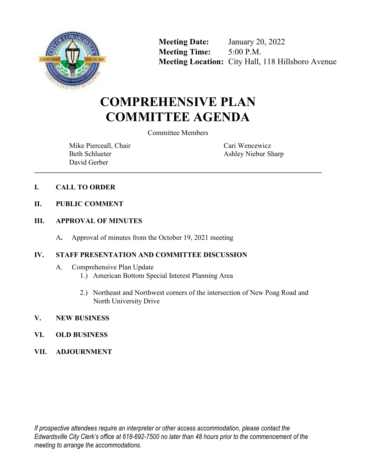

**Meeting Date:** January 20, 2022 **Meeting Time:** 5:00 P.M. **Meeting Location:** City Hall, 118 Hillsboro Avenue

# **COMPREHENSIVE PLAN COMMITTEE AGENDA**

Committee Members

Mike Pierceall, Chair Beth Schlueter David Gerber

Cari Wencewicz Ashley Niebur Sharp

- **I. CALL TO ORDER**
- **II. PUBLIC COMMENT**
- **III. APPROVAL OF MINUTES**
	- A**.** Approval of minutes from the October 19, 2021 meeting

## **IV. STAFF PRESENTATION AND COMMITTEE DISCUSSION**

- A. Comprehensive Plan Update
	- 1.) American Bottom Special Interest Planning Area
	- 2.) Northeast and Northwest corners of the intersection of New Poag Road and North University Drive
- **V. NEW BUSINESS**
- **VI. OLD BUSINESS**
- **VII. ADJOURNMENT**

*If prospective attendees require an interpreter or other access accommodation, please contact the Edwardsville City Clerk's office at 618-692-7500 no later than 48 hours prior to the commencement of the meeting to arrange the accommodations.*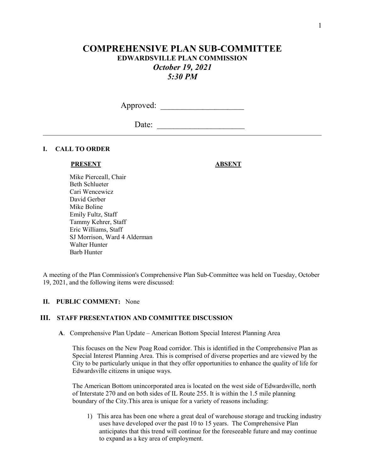# **COMPREHENSIVE PLAN SUB-COMMITTEE EDWARDSVILLE PLAN COMMISSION**  *October 19, 2021 5:30 PM*

Approved: \_\_\_\_\_\_\_\_\_\_\_\_\_\_\_\_\_\_\_\_

Date: \_\_\_\_\_\_\_\_\_\_\_\_\_\_\_\_\_\_\_\_\_

#### **I. CALL TO ORDER**

#### **PRESENT ABSENT**

 Mike Pierceall, Chair Beth Schlueter Cari Wencewicz David Gerber Mike Boline Emily Fultz, Staff Tammy Kehrer, Staff Eric Williams, Staff SJ Morrison, Ward 4 Alderman Walter Hunter Barb Hunter

A meeting of the Plan Commission's Comprehensive Plan Sub-Committee was held on Tuesday, October 19, 2021, and the following items were discussed:

#### **II. PUBLIC COMMENT:** None

#### **III. STAFF PRESENTATION AND COMMITTEE DISCUSSION**

**A**. Comprehensive Plan Update – American Bottom Special Interest Planning Area

 This focuses on the New Poag Road corridor. This is identified in the Comprehensive Plan as Special Interest Planning Area. This is comprised of diverse properties and are viewed by the City to be particularly unique in that they offer opportunities to enhance the quality of life for Edwardsville citizens in unique ways.

 The American Bottom unincorporated area is located on the west side of Edwardsville, north of Interstate 270 and on both sides of IL Route 255. It is within the 1.5 mile planning boundary of the City.This area is unique for a variety of reasons including:

 1) This area has been one where a great deal of warehouse storage and trucking industry uses have developed over the past 10 to 15 years. The Comprehensive Plan anticipates that this trend will continue for the foreseeable future and may continue to expand as a key area of employment.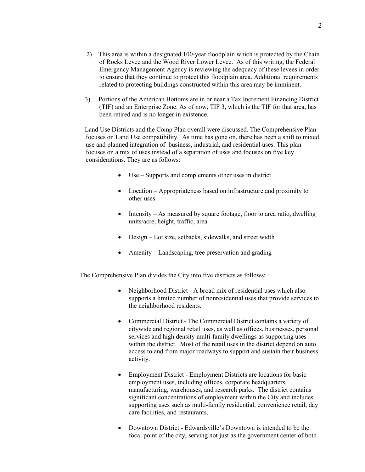- 2) This area is within a designated 100-year floodplain which is protected by the Chain of Rocks Levee and the Wood River Lower Levee. As of this writing, the Federal Emergency Management Agency is reviewing the adequacy of these levees in order to ensure that they continue to protect this floodplain area. Additional requirements related to protecting buildings constructed within this area may be imminent.
- 3) Portions of the American Bottoms are in or near a Tax Increment Financing District (TIF) and an Enterprise Zone. As of now, TIF 3, which is the TIF for that area, has been retired and is no longer in existence.

 Land Use Districts and the Comp Plan overall were discussed. The Comprehensive Plan focuses on Land Use compatibility. As time has gone on, there has been a shift to mixed use and planned integration of business, industrial, and residential uses. This plan focuses on a mix of uses instead of a separation of uses and focuses on five key considerations. They are as follows:

- Use Supports and complements other uses in district
- Location Appropriateness based on infrastructure and proximity to other uses
- $\bullet$  Intensity As measured by square footage, floor to area ratio, dwelling units/acre, height, traffic, area
- Design Lot size, setbacks, sidewalks, and street width
- Amenity Landscaping, tree preservation and grading

The Comprehensive Plan divides the City into five districts as follows:

- Neighborhood District A broad mix of residential uses which also supports a limited number of nonresidential uses that provide services to the neighborhood residents.
- Commercial District The Commercial District contains a variety of citywide and regional retail uses, as well as offices, businesses, personal services and high density multi-family dwellings as supporting uses within the district. Most of the retail uses in the district depend on auto access to and from major roadways to support and sustain their business activity.
- Employment District Employment Districts are locations for basic employment uses, including offices, corporate headquarters, manufacturing, warehouses, and research parks. The district contains significant concentrations of employment within the City and includes supporting uses such as multi-family residential, convenience retail, day care facilities, and restaurants.
- Downtown District Edwardsville's Downtown is intended to be the focal point of the city, serving not just as the government center of both